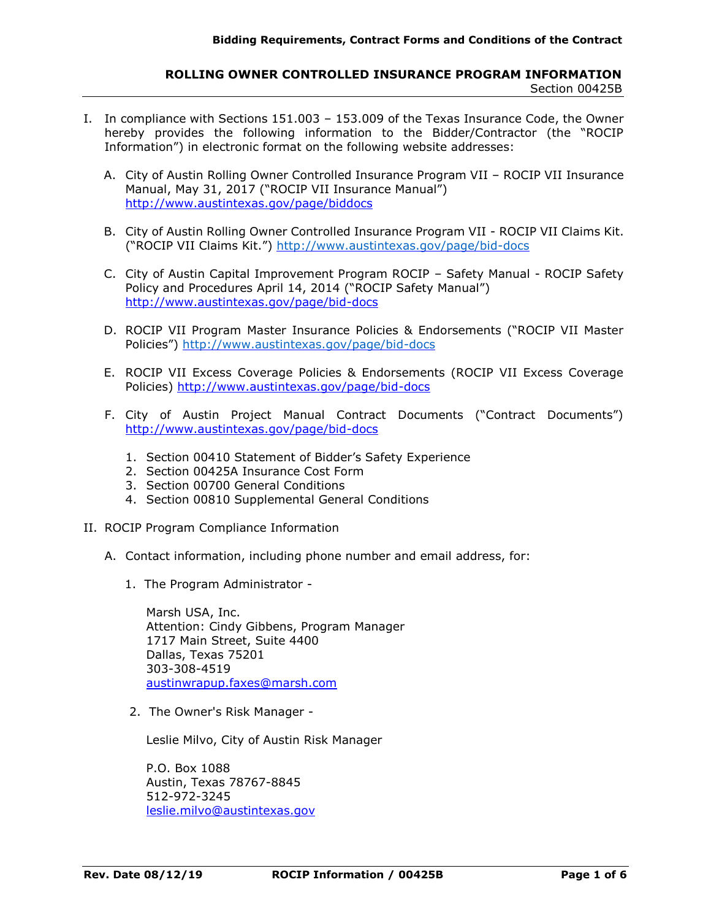## **ROLLING OWNER CONTROLLED INSURANCE PROGRAM INFORMATION** Section 00425B

- I. In compliance with Sections 151.003 153.009 of the Texas Insurance Code, the Owner hereby provides the following information to the Bidder/Contractor (the "ROCIP Information") in electronic format on the following website addresses:
	- A. City of Austin Rolling Owner Controlled Insurance Program VII ROCIP VII Insurance Manual, May 31, 2017 ("ROCIP VII Insurance Manual") http://www.austintexas.gov/page/biddocs
	- B. City of Austin Rolling Owner Controlled Insurance Program VII ROCIP VII Claims Kit. ("ROCIP VII Claims Kit.") <http://www.austintexas.gov/page/bid-docs>
	- C. City of Austin Capital Improvement Program ROCIP Safety Manual ROCIP Safety Policy and Procedures April 14, 2014 ("ROCIP Safety Manual") http://www.austintexas.gov/page/bid-docs
	- D. ROCIP VII Program Master Insurance Policies & Endorsements ("ROCIP VII Master Policies") <http://www.austintexas.gov/page/bid-docs>
	- E. ROCIP VII Excess Coverage Policies & Endorsements (ROCIP VII Excess Coverage Policies) http://www.austintexas.gov/page/bid-docs
	- F. City of Austin Project Manual Contract Documents ("Contract Documents") http://www.austintexas.gov/page/bid-docs
		- 1. Section 00410 Statement of Bidder's Safety Experience
		- 2. Section 00425A Insurance Cost Form
		- 3. Section 00700 General Conditions
		- 4. Section 00810 Supplemental General Conditions
- II. ROCIP Program Compliance Information
	- A. Contact information, including phone number and email address, for:
		- 1. The Program Administrator -

Marsh USA, Inc. Attention: Cindy Gibbens, Program Manager 1717 Main Street, Suite 4400 Dallas, Texas 75201 303-308-4519 austinwrapup.faxes@marsh.com

2. The Owner's Risk Manager -

Leslie Milvo, City of Austin Risk Manager

P.O. Box 1088 Austin, Texas 78767-8845 512-972-3245 leslie.milvo@austintexas.gov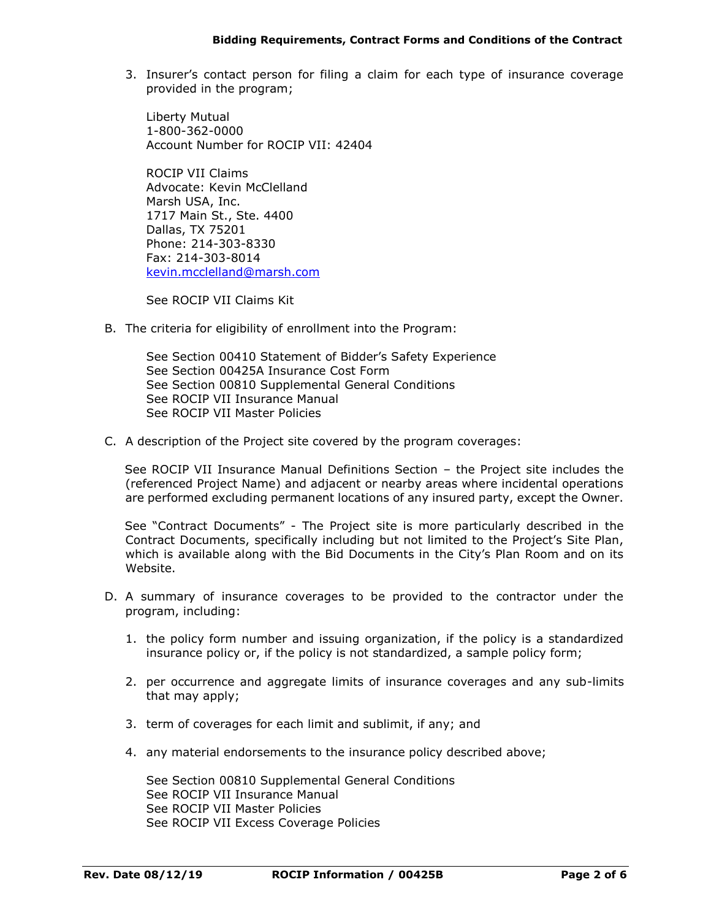3. Insurer's contact person for filing a claim for each type of insurance coverage provided in the program;

Liberty Mutual 1-800-362-0000 Account Number for ROCIP VII: 42404

ROCIP VII Claims Advocate: Kevin McClelland Marsh USA, Inc. 1717 Main St., Ste. 4400 Dallas, TX 75201 Phone: 214-303-8330 Fax: 214-303-8014 kevin.mcclelland@marsh.com

See ROCIP VII Claims Kit

B. The criteria for eligibility of enrollment into the Program:

See Section 00410 Statement of Bidder's Safety Experience See Section 00425A Insurance Cost Form See Section 00810 Supplemental General Conditions See ROCIP VII Insurance Manual See ROCIP VII Master Policies

C. A description of the Project site covered by the program coverages:

See ROCIP VII Insurance Manual Definitions Section – the Project site includes the (referenced Project Name) and adjacent or nearby areas where incidental operations are performed excluding permanent locations of any insured party, except the Owner.

See "Contract Documents" - The Project site is more particularly described in the Contract Documents, specifically including but not limited to the Project's Site Plan, which is available along with the Bid Documents in the City's Plan Room and on its Website.

- D. A summary of insurance coverages to be provided to the contractor under the program, including:
	- 1. the policy form number and issuing organization, if the policy is a standardized insurance policy or, if the policy is not standardized, a sample policy form;
	- 2. per occurrence and aggregate limits of insurance coverages and any sub-limits that may apply;
	- 3. term of coverages for each limit and sublimit, if any; and
	- 4. any material endorsements to the insurance policy described above;

See Section 00810 Supplemental General Conditions See ROCIP VII Insurance Manual See ROCIP VII Master Policies See ROCIP VII Excess Coverage Policies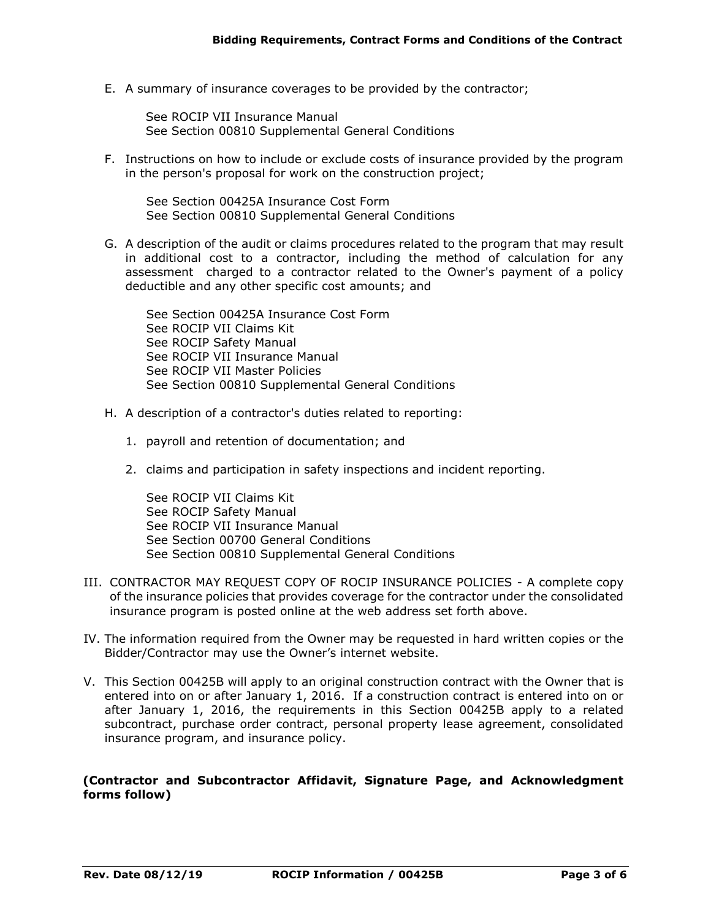E. A summary of insurance coverages to be provided by the contractor;

See ROCIP VII Insurance Manual See Section 00810 Supplemental General Conditions

F. Instructions on how to include or exclude costs of insurance provided by the program in the person's proposal for work on the construction project;

See Section 00425A Insurance Cost Form See Section 00810 Supplemental General Conditions

G. A description of the audit or claims procedures related to the program that may result in additional cost to a contractor, including the method of calculation for any assessment charged to a contractor related to the Owner's payment of a policy deductible and any other specific cost amounts; and

See Section 00425A Insurance Cost Form See ROCIP VII Claims Kit See ROCIP Safety Manual See ROCIP VII Insurance Manual See ROCIP VII Master Policies See Section 00810 Supplemental General Conditions

- H. A description of a contractor's duties related to reporting:
	- 1. payroll and retention of documentation; and
	- 2. claims and participation in safety inspections and incident reporting.

See ROCIP VII Claims Kit See ROCIP Safety Manual See ROCIP VII Insurance Manual See Section 00700 General Conditions See Section 00810 Supplemental General Conditions

- III. CONTRACTOR MAY REQUEST COPY OF ROCIP INSURANCE POLICIES A complete copy of the insurance policies that provides coverage for the contractor under the consolidated insurance program is posted online at the web address set forth above.
- IV. The information required from the Owner may be requested in hard written copies or the Bidder/Contractor may use the Owner's internet website.
- V. This Section 00425B will apply to an original construction contract with the Owner that is entered into on or after January 1, 2016. If a construction contract is entered into on or after January 1, 2016, the requirements in this Section 00425B apply to a related subcontract, purchase order contract, personal property lease agreement, consolidated insurance program, and insurance policy.

**(Contractor and Subcontractor Affidavit, Signature Page, and Acknowledgment forms follow)**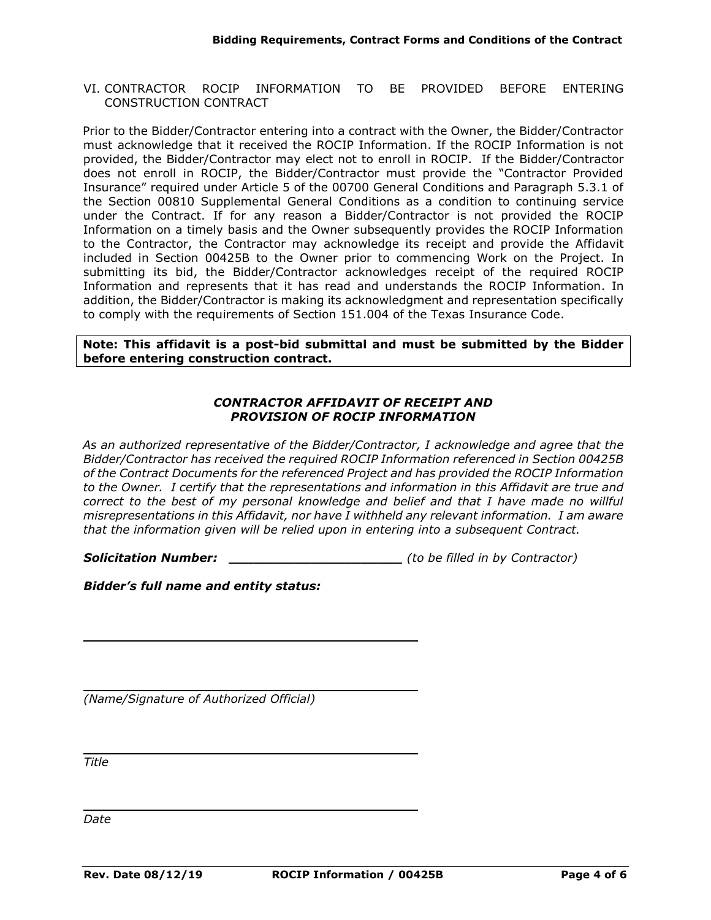VI. CONTRACTOR ROCIP INFORMATION TO BE PROVIDED BEFORE ENTERING CONSTRUCTION CONTRACT

Prior to the Bidder/Contractor entering into a contract with the Owner, the Bidder/Contractor must acknowledge that it received the ROCIP Information. If the ROCIP Information is not provided, the Bidder/Contractor may elect not to enroll in ROCIP. If the Bidder/Contractor does not enroll in ROCIP, the Bidder/Contractor must provide the "Contractor Provided Insurance" required under Article 5 of the 00700 General Conditions and Paragraph 5.3.1 of the Section 00810 Supplemental General Conditions as a condition to continuing service under the Contract. If for any reason a Bidder/Contractor is not provided the ROCIP Information on a timely basis and the Owner subsequently provides the ROCIP Information to the Contractor, the Contractor may acknowledge its receipt and provide the Affidavit included in Section 00425B to the Owner prior to commencing Work on the Project. In submitting its bid, the Bidder/Contractor acknowledges receipt of the required ROCIP Information and represents that it has read and understands the ROCIP Information. In addition, the Bidder/Contractor is making its acknowledgment and representation specifically to comply with the requirements of Section 151.004 of the Texas Insurance Code.

**Note: This affidavit is a post-bid submittal and must be submitted by the Bidder before entering construction contract.**

## *CONTRACTOR AFFIDAVIT OF RECEIPT AND PROVISION OF ROCIP INFORMATION*

*As an authorized representative of the Bidder/Contractor, I acknowledge and agree that the Bidder/Contractor has received the required ROCIP Information referenced in Section 00425B of the Contract Documents for the referenced Project and has provided the ROCIP Information to the Owner. I certify that the representations and information in this Affidavit are true and correct to the best of my personal knowledge and belief and that I have made no willful misrepresentations in this Affidavit, nor have I withheld any relevant information. I am aware that the information given will be relied upon in entering into a subsequent Contract.* 

*Solicitation Number: \_\_\_\_\_\_\_\_\_\_\_\_\_\_\_\_\_\_\_\_\_ (to be filled in by Contractor)*

*Bidder's full name and entity status:*

*(Name/Signature of Authorized Official)* 

*Title*

*Date*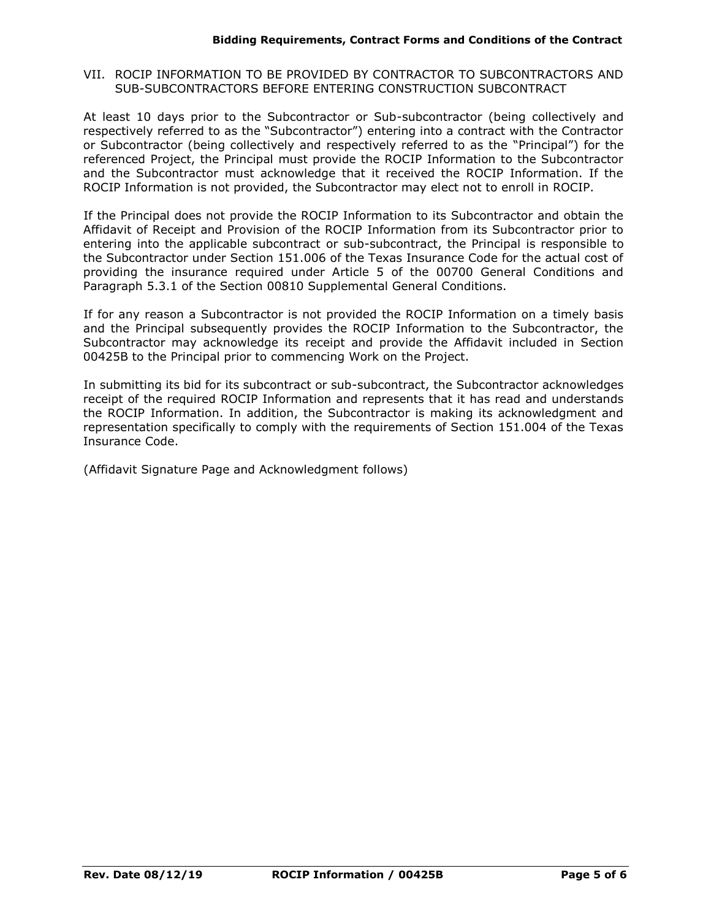## VII. ROCIP INFORMATION TO BE PROVIDED BY CONTRACTOR TO SUBCONTRACTORS AND SUB-SUBCONTRACTORS BEFORE ENTERING CONSTRUCTION SUBCONTRACT

At least 10 days prior to the Subcontractor or Sub-subcontractor (being collectively and respectively referred to as the "Subcontractor") entering into a contract with the Contractor or Subcontractor (being collectively and respectively referred to as the "Principal") for the referenced Project, the Principal must provide the ROCIP Information to the Subcontractor and the Subcontractor must acknowledge that it received the ROCIP Information. If the ROCIP Information is not provided, the Subcontractor may elect not to enroll in ROCIP.

If the Principal does not provide the ROCIP Information to its Subcontractor and obtain the Affidavit of Receipt and Provision of the ROCIP Information from its Subcontractor prior to entering into the applicable subcontract or sub-subcontract, the Principal is responsible to the Subcontractor under Section 151.006 of the Texas Insurance Code for the actual cost of providing the insurance required under Article 5 of the 00700 General Conditions and Paragraph 5.3.1 of the Section 00810 Supplemental General Conditions.

If for any reason a Subcontractor is not provided the ROCIP Information on a timely basis and the Principal subsequently provides the ROCIP Information to the Subcontractor, the Subcontractor may acknowledge its receipt and provide the Affidavit included in Section 00425B to the Principal prior to commencing Work on the Project.

In submitting its bid for its subcontract or sub-subcontract, the Subcontractor acknowledges receipt of the required ROCIP Information and represents that it has read and understands the ROCIP Information. In addition, the Subcontractor is making its acknowledgment and representation specifically to comply with the requirements of Section 151.004 of the Texas Insurance Code.

(Affidavit Signature Page and Acknowledgment follows)